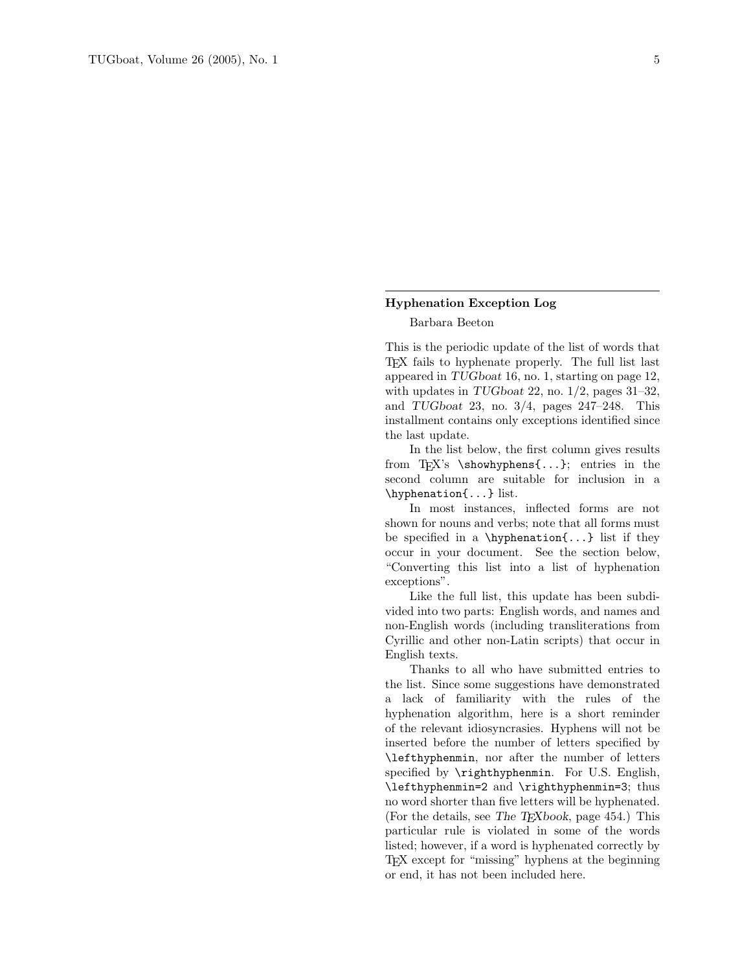### Hyphenation Exception Log

### Barbara Beeton

This is the periodic update of the list of words that TEX fails to hyphenate properly. The full list last appeared in TUGboat 16, no. 1, starting on page 12, with updates in TUGboat 22, no.  $1/2$ , pages 31–32, and TUGboat 23, no.  $3/4$ , pages  $247-248$ . This installment contains only exceptions identified since the last update.

In the list below, the first column gives results from T<sub>EX</sub>'s \showhyphens{...}; entries in the second column are suitable for inclusion in a \hyphenation{...} list.

In most instances, inflected forms are not shown for nouns and verbs; note that all forms must be specified in a \hyphenation{...} list if they occur in your document. See the section below, "Converting this list into a list of hyphenation exceptions".

Like the full list, this update has been subdivided into two parts: English words, and names and non-English words (including transliterations from Cyrillic and other non-Latin scripts) that occur in English texts.

Thanks to all who have submitted entries to the list. Since some suggestions have demonstrated a lack of familiarity with the rules of the hyphenation algorithm, here is a short reminder of the relevant idiosyncrasies. Hyphens will not be inserted before the number of letters specified by \lefthyphenmin, nor after the number of letters specified by \righthyphenmin. For U.S. English, \lefthyphenmin=2 and \righthyphenmin=3; thus no word shorter than five letters will be hyphenated. (For the details, see The T $\overline{F}X$ book, page 454.) This particular rule is violated in some of the words listed; however, if a word is hyphenated correctly by TEX except for "missing" hyphens at the beginning or end, it has not been included here.